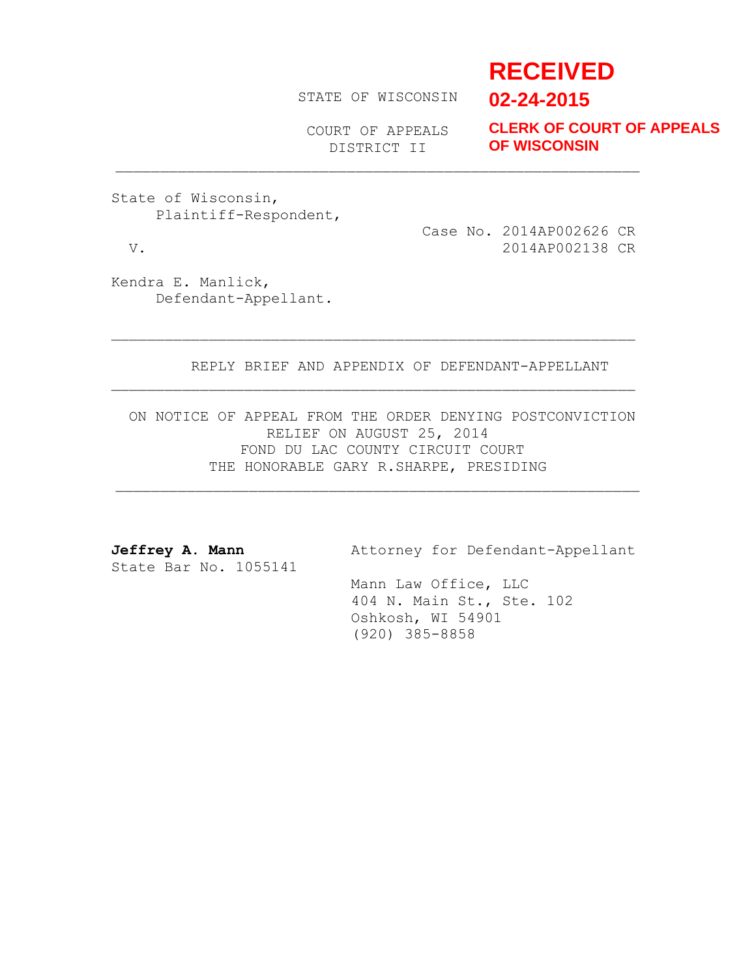# **RECEIVED**

STATE OF WISCONSIN

**02-24-2015**

COURT OF APPEALS DISTRICT II

**CLERK OF COURT OF APPEALS OF WISCONSIN**

State of Wisconsin, Plaintiff-Respondent,

 Case No. 2014AP002626 CR V. 2014AP002138 CR

Kendra E. Manlick, Defendant-Appellant.

REPLY BRIEF AND APPENDIX OF DEFENDANT-APPELLANT

ON NOTICE OF APPEAL FROM THE ORDER DENYING POSTCONVICTION RELIEF ON AUGUST 25, 2014 FOND DU LAC COUNTY CIRCUIT COURT THE HONORABLE GARY R.SHARPE, PRESIDING

State Bar No. 1055141

Jeffrey A. Mann **Attorney for Defendant-Appellant** 

 Mann Law Office, LLC 404 N. Main St., Ste. 102 Oshkosh, WI 54901 (920) 385-8858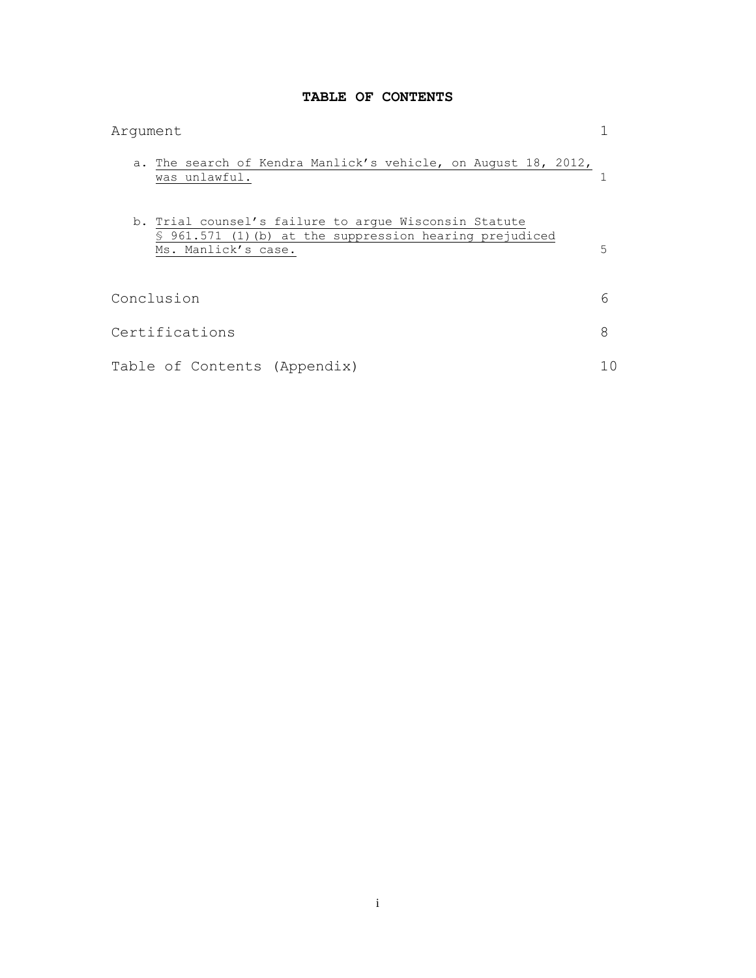# **TABLE OF CONTENTS**

| Argument                                                                                                                                 |   |
|------------------------------------------------------------------------------------------------------------------------------------------|---|
| a. The search of Kendra Manlick's vehicle, on August 18, 2012,<br>was unlawful.                                                          |   |
| b. Trial counsel's failure to arque Wisconsin Statute<br>\$ 961.571 (1) (b) at the suppression hearing prejudiced<br>Ms. Manlick's case. | 5 |
| Conclusion                                                                                                                               | 6 |
| Certifications                                                                                                                           | 8 |
| Table of Contents (Appendix)                                                                                                             |   |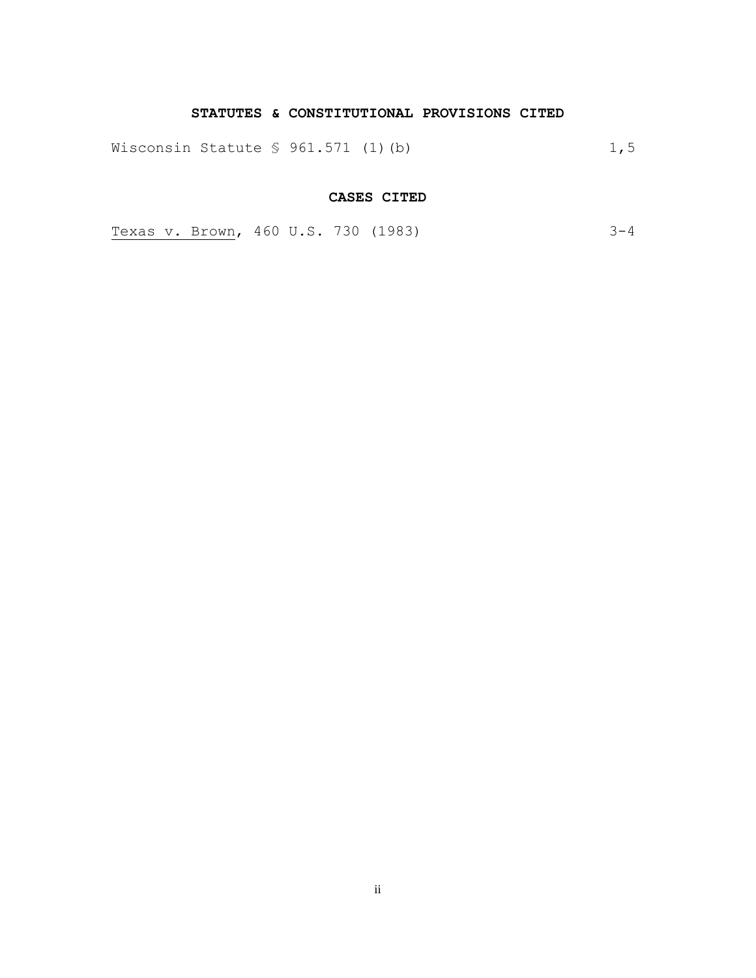## **STATUTES & CONSTITUTIONAL PROVISIONS CITED**

Wisconsin Statute § 961.571 (1)(b) 1,5

## **CASES CITED**

Texas v. Brown, 460 U.S. 730 (1983) 3-4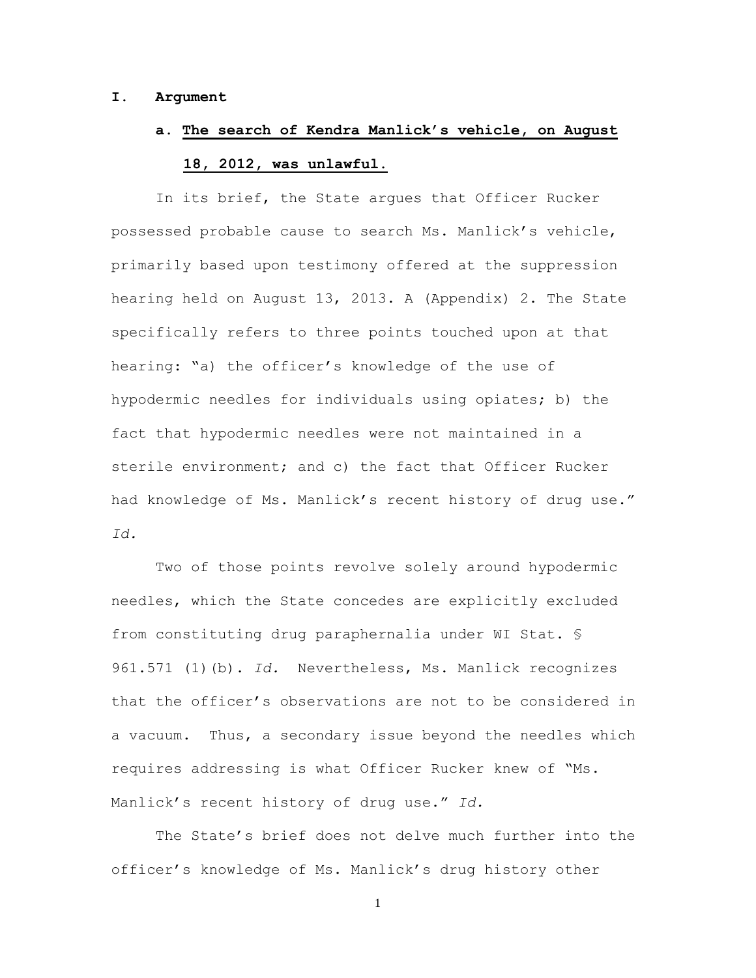### **I. Argument**

# **a. The search of Kendra Manlick's vehicle, on August 18, 2012, was unlawful.**

In its brief, the State argues that Officer Rucker possessed probable cause to search Ms. Manlick's vehicle, primarily based upon testimony offered at the suppression hearing held on August 13, 2013. A (Appendix) 2. The State specifically refers to three points touched upon at that hearing: "a) the officer's knowledge of the use of hypodermic needles for individuals using opiates; b) the fact that hypodermic needles were not maintained in a sterile environment; and c) the fact that Officer Rucker had knowledge of Ms. Manlick's recent history of drug use." *Id.*

Two of those points revolve solely around hypodermic needles, which the State concedes are explicitly excluded from constituting drug paraphernalia under WI Stat. § 961.571 (1)(b). *Id.* Nevertheless, Ms. Manlick recognizes that the officer's observations are not to be considered in a vacuum. Thus, a secondary issue beyond the needles which requires addressing is what Officer Rucker knew of "Ms. Manlick's recent history of drug use." *Id.*

The State's brief does not delve much further into the officer's knowledge of Ms. Manlick's drug history other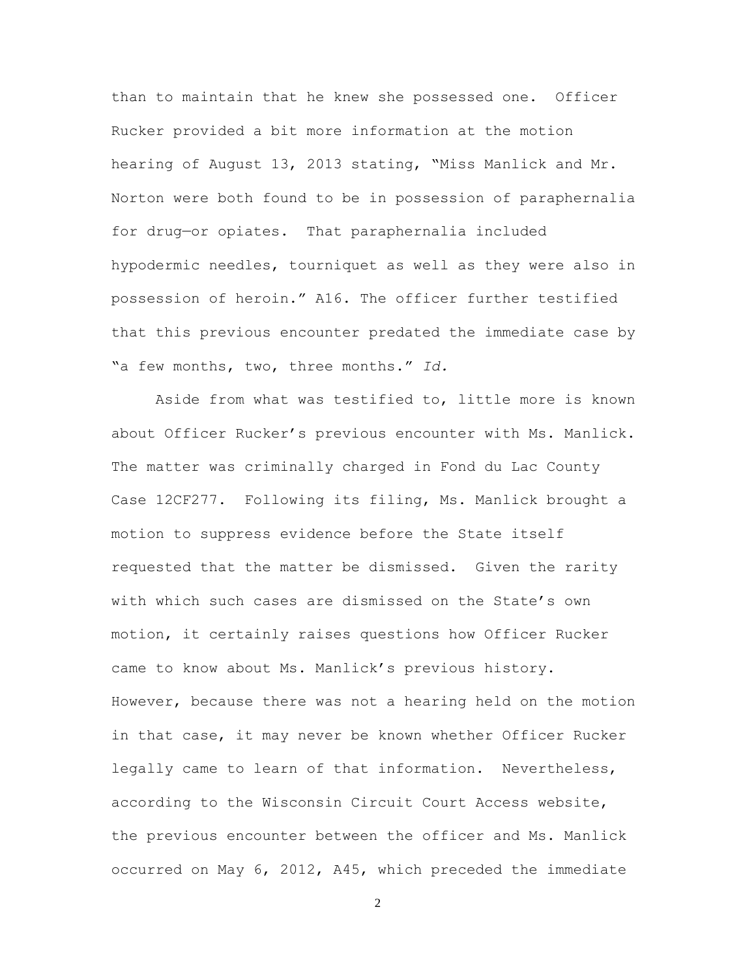than to maintain that he knew she possessed one. Officer Rucker provided a bit more information at the motion hearing of August 13, 2013 stating, "Miss Manlick and Mr. Norton were both found to be in possession of paraphernalia for drug—or opiates. That paraphernalia included hypodermic needles, tourniquet as well as they were also in possession of heroin." A16. The officer further testified that this previous encounter predated the immediate case by "a few months, two, three months." *Id.*

Aside from what was testified to, little more is known about Officer Rucker's previous encounter with Ms. Manlick. The matter was criminally charged in Fond du Lac County Case 12CF277. Following its filing, Ms. Manlick brought a motion to suppress evidence before the State itself requested that the matter be dismissed. Given the rarity with which such cases are dismissed on the State's own motion, it certainly raises questions how Officer Rucker came to know about Ms. Manlick's previous history. However, because there was not a hearing held on the motion in that case, it may never be known whether Officer Rucker legally came to learn of that information. Nevertheless, according to the Wisconsin Circuit Court Access website, the previous encounter between the officer and Ms. Manlick occurred on May 6, 2012, A45, which preceded the immediate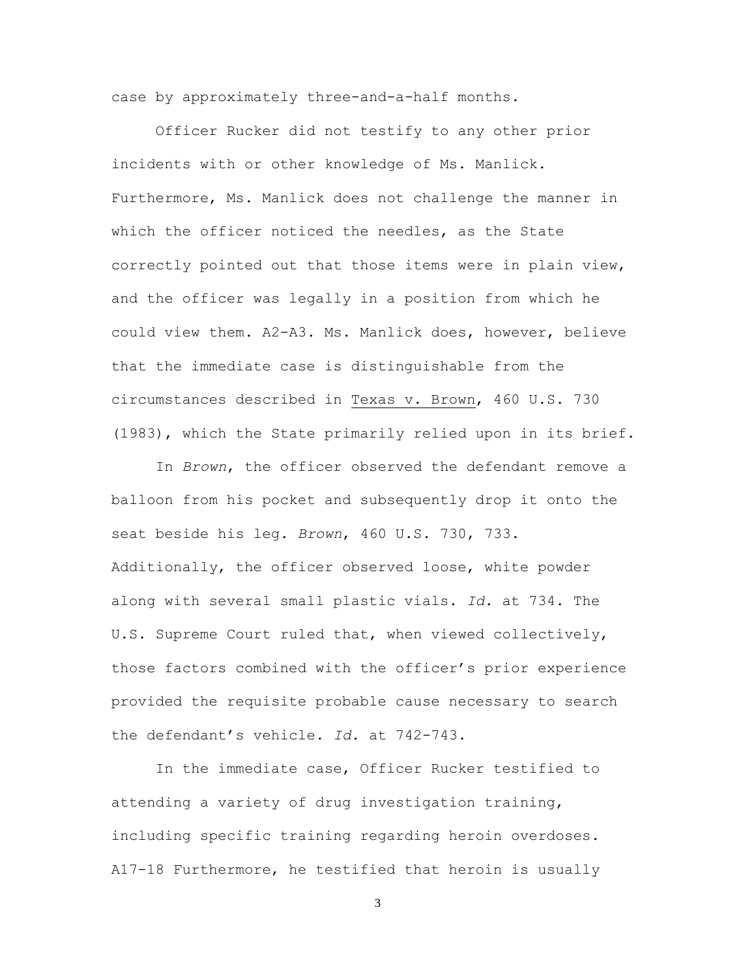case by approximately three-and-a-half months.

Officer Rucker did not testify to any other prior incidents with or other knowledge of Ms. Manlick. Furthermore, Ms. Manlick does not challenge the manner in which the officer noticed the needles, as the State correctly pointed out that those items were in plain view, and the officer was legally in a position from which he could view them. A2-A3. Ms. Manlick does, however, believe that the immediate case is distinguishable from the circumstances described in Texas v. Brown, 460 U.S. 730 (1983), which the State primarily relied upon in its brief.

In *Brown*, the officer observed the defendant remove a balloon from his pocket and subsequently drop it onto the seat beside his leg. *Brown*, 460 U.S. 730, 733. Additionally, the officer observed loose, white powder along with several small plastic vials. *Id.* at 734. The U.S. Supreme Court ruled that, when viewed collectively, those factors combined with the officer's prior experience provided the requisite probable cause necessary to search the defendant's vehicle. *Id.* at 742-743.

In the immediate case, Officer Rucker testified to attending a variety of drug investigation training, including specific training regarding heroin overdoses. A17-18 Furthermore, he testified that heroin is usually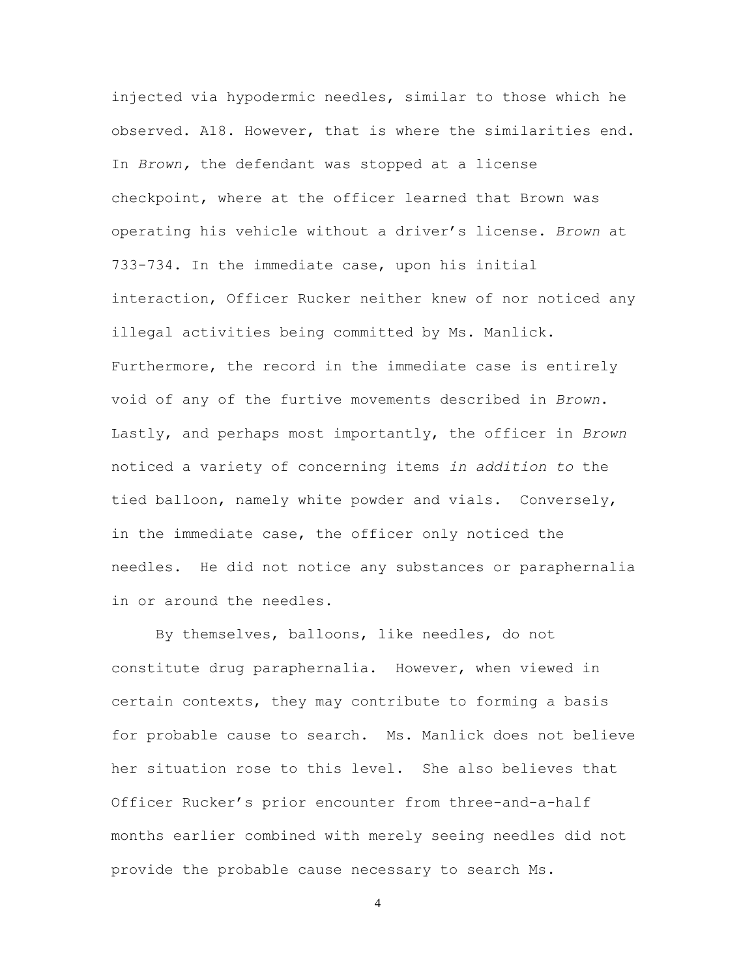injected via hypodermic needles, similar to those which he observed. A18. However, that is where the similarities end. In *Brown,* the defendant was stopped at a license checkpoint, where at the officer learned that Brown was operating his vehicle without a driver's license. *Brown* at 733-734. In the immediate case, upon his initial interaction, Officer Rucker neither knew of nor noticed any illegal activities being committed by Ms. Manlick. Furthermore, the record in the immediate case is entirely void of any of the furtive movements described in *Brown*. Lastly, and perhaps most importantly, the officer in *Brown* noticed a variety of concerning items *in addition to* the tied balloon, namely white powder and vials. Conversely, in the immediate case, the officer only noticed the needles. He did not notice any substances or paraphernalia in or around the needles.

By themselves, balloons, like needles, do not constitute drug paraphernalia. However, when viewed in certain contexts, they may contribute to forming a basis for probable cause to search. Ms. Manlick does not believe her situation rose to this level. She also believes that Officer Rucker's prior encounter from three-and-a-half months earlier combined with merely seeing needles did not provide the probable cause necessary to search Ms.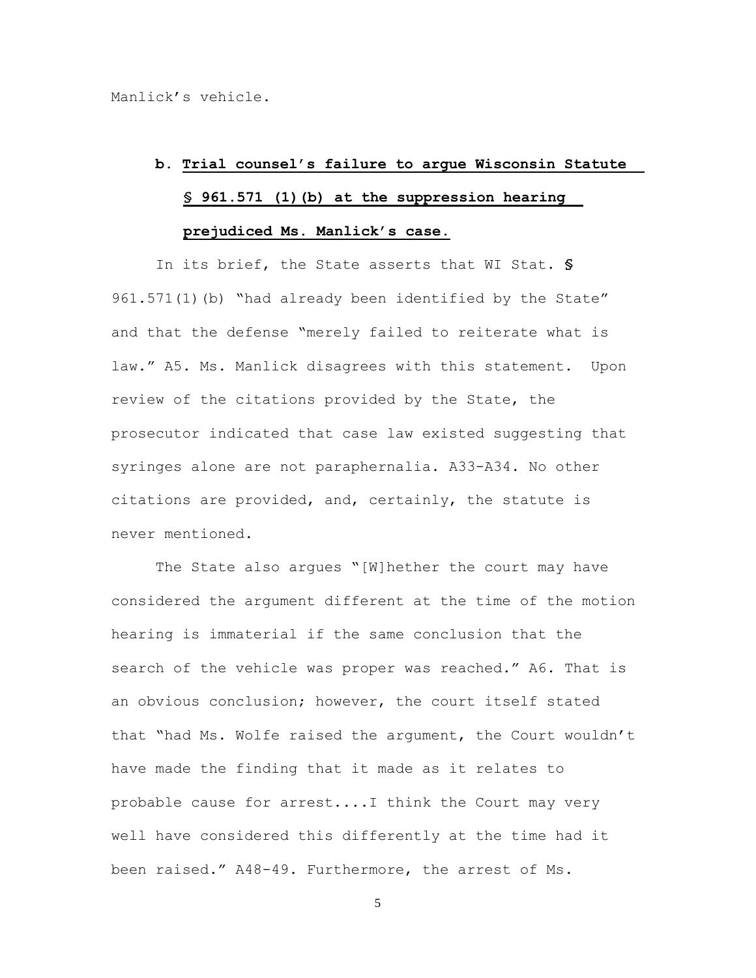# **b. Trial counsel's failure to argue Wisconsin Statute § 961.571 (1)(b) at the suppression hearing prejudiced Ms. Manlick's case.**

In its brief, the State asserts that WI Stat. **§** 961.571(1)(b) "had already been identified by the State" and that the defense "merely failed to reiterate what is law." A5. Ms. Manlick disagrees with this statement. Upon review of the citations provided by the State, the prosecutor indicated that case law existed suggesting that syringes alone are not paraphernalia. A33-A34. No other citations are provided, and, certainly, the statute is never mentioned.

The State also argues "[W]hether the court may have considered the argument different at the time of the motion hearing is immaterial if the same conclusion that the search of the vehicle was proper was reached." A6. That is an obvious conclusion; however, the court itself stated that "had Ms. Wolfe raised the argument, the Court wouldn't have made the finding that it made as it relates to probable cause for arrest....I think the Court may very well have considered this differently at the time had it been raised." A48-49. Furthermore, the arrest of Ms.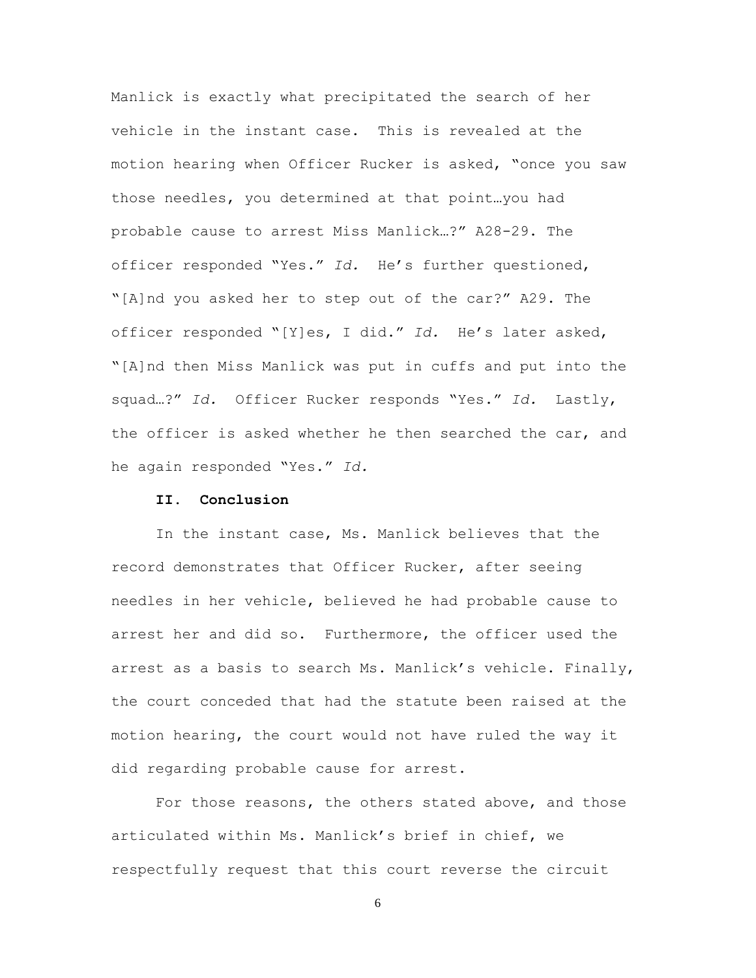Manlick is exactly what precipitated the search of her vehicle in the instant case. This is revealed at the motion hearing when Officer Rucker is asked, "once you saw those needles, you determined at that point…you had probable cause to arrest Miss Manlick…?" A28-29. The officer responded "Yes." *Id.* He's further questioned, "[A]nd you asked her to step out of the car?" A29. The officer responded "[Y]es, I did." *Id.* He's later asked, "[A]nd then Miss Manlick was put in cuffs and put into the squad…?" *Id.* Officer Rucker responds "Yes." *Id.* Lastly, the officer is asked whether he then searched the car, and he again responded "Yes." *Id.*

### **II. Conclusion**

In the instant case, Ms. Manlick believes that the record demonstrates that Officer Rucker, after seeing needles in her vehicle, believed he had probable cause to arrest her and did so. Furthermore, the officer used the arrest as a basis to search Ms. Manlick's vehicle. Finally, the court conceded that had the statute been raised at the motion hearing, the court would not have ruled the way it did regarding probable cause for arrest.

For those reasons, the others stated above, and those articulated within Ms. Manlick's brief in chief, we respectfully request that this court reverse the circuit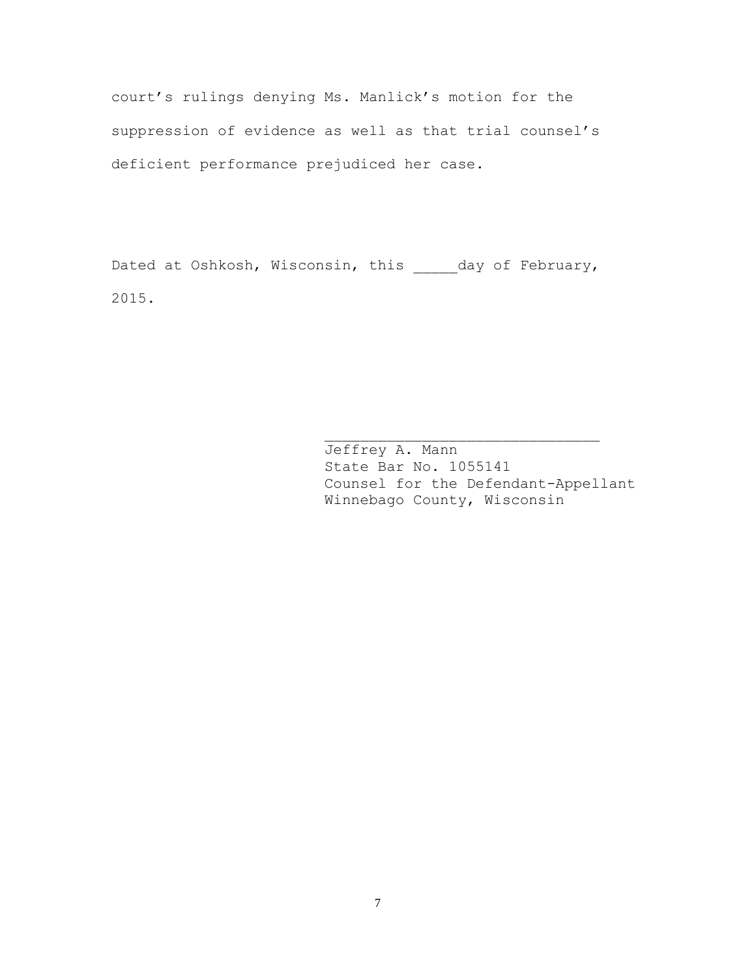court's rulings denying Ms. Manlick's motion for the suppression of evidence as well as that trial counsel's deficient performance prejudiced her case.

Dated at Oshkosh, Wisconsin, this \_\_\_\_\_day of February, 2015.

> Jeffrey A. Mann State Bar No. 1055141 Counsel for the Defendant-Appellant Winnebago County, Wisconsin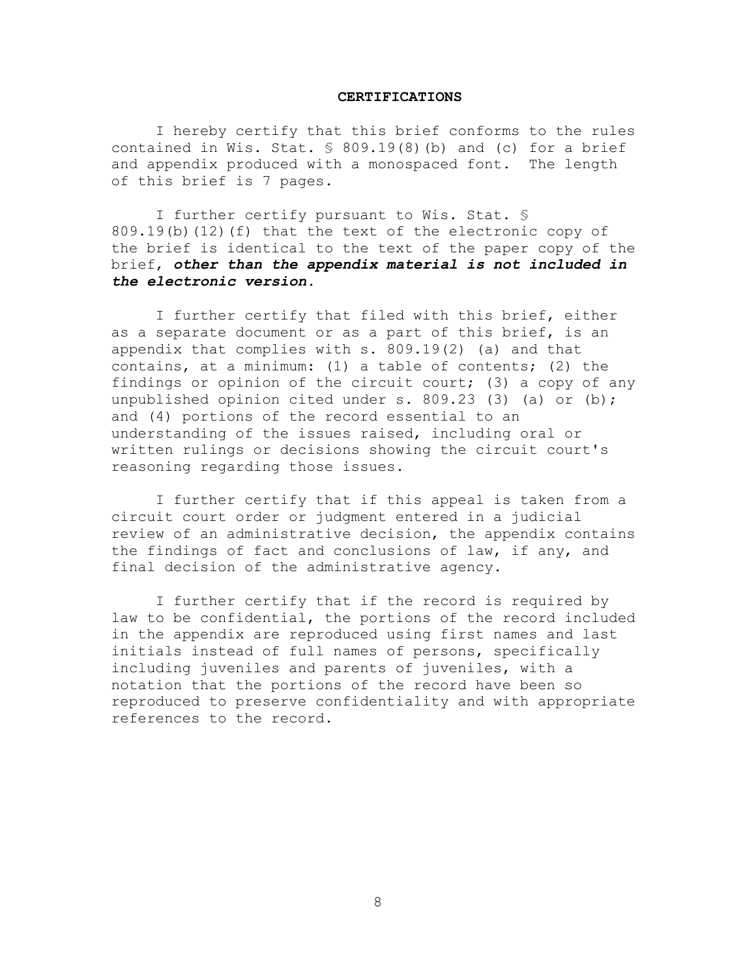#### **CERTIFICATIONS**

I hereby certify that this brief conforms to the rules contained in Wis. Stat.  $\frac{1}{5}$  809.19(8)(b) and (c) for a brief and appendix produced with a monospaced font. The length of this brief is 7 pages.

I further certify pursuant to Wis. Stat. § 809.19(b)(12)(f) that the text of the electronic copy of the brief is identical to the text of the paper copy of the brief, *other than the appendix material is not included in the electronic version.*

I further certify that filed with this brief, either as a separate document or as a part of this brief, is an appendix that complies with s. 809.19(2) (a) and that contains, at a minimum: (1) a table of contents; (2) the findings or opinion of the circuit court; (3) a copy of any unpublished opinion cited under s. 809.23 (3) (a) or (b); and (4) portions of the record essential to an understanding of the issues raised, including oral or written rulings or decisions showing the circuit court's reasoning regarding those issues.

I further certify that if this appeal is taken from a circuit court order or judgment entered in a judicial review of an administrative decision, the appendix contains the findings of fact and conclusions of law, if any, and final decision of the administrative agency.

I further certify that if the record is required by law to be confidential, the portions of the record included in the appendix are reproduced using first names and last initials instead of full names of persons, specifically including juveniles and parents of juveniles, with a notation that the portions of the record have been so reproduced to preserve confidentiality and with appropriate references to the record.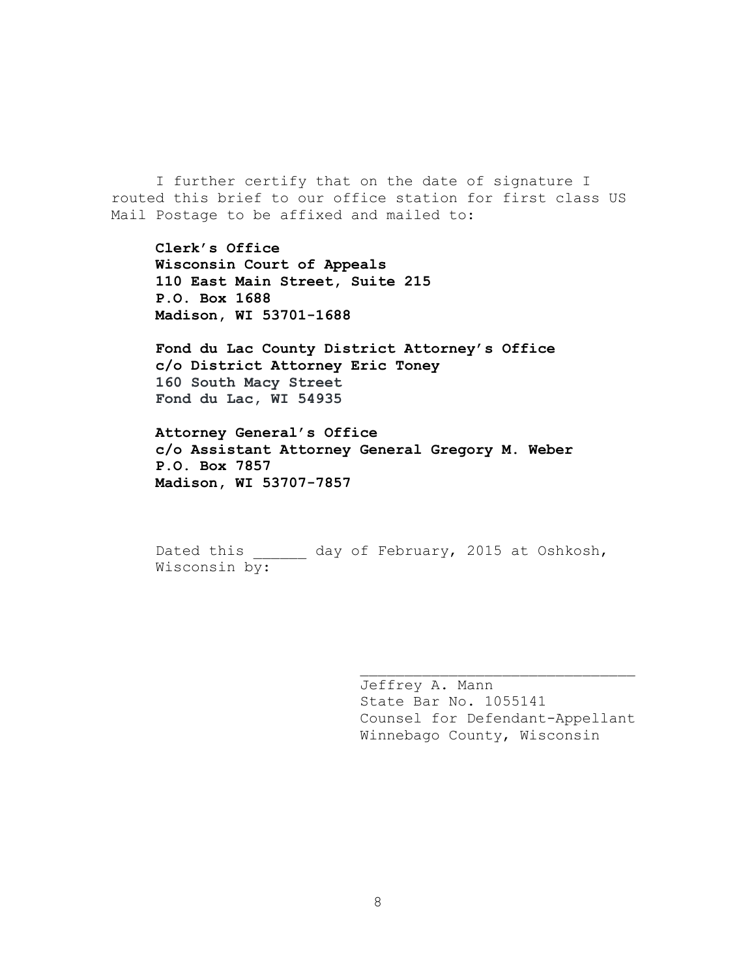I further certify that on the date of signature I routed this brief to our office station for first class US Mail Postage to be affixed and mailed to:

**Clerk's Office Wisconsin Court of Appeals 110 East Main Street, Suite 215 P.O. Box 1688 Madison, WI 53701-1688**

**Fond du Lac County District Attorney's Office c/o District Attorney Eric Toney 160 South Macy Street Fond du Lac, WI 54935**

**Attorney General's Office c/o Assistant Attorney General Gregory M. Weber P.O. Box 7857 Madison, WI 53707-7857**

Dated this day of February, 2015 at Oshkosh, Wisconsin by:

> Jeffrey A. Mann State Bar No. 1055141 Counsel for Defendant-Appellant Winnebago County, Wisconsin